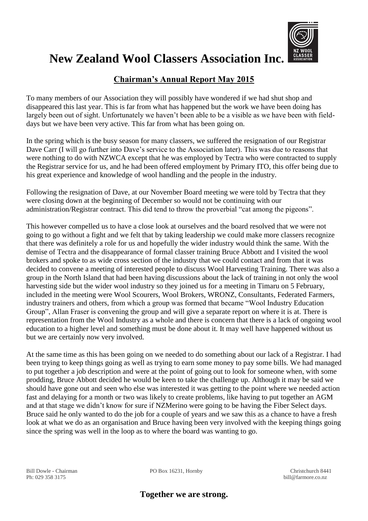

## **New Zealand Wool Classers Association Inc.**

## **Chairman's Annual Report May 2015**

To many members of our Association they will possibly have wondered if we had shut shop and disappeared this last year. This is far from what has happened but the work we have been doing has largely been out of sight. Unfortunately we haven't been able to be a visible as we have been with fielddays but we have been very active. This far from what has been going on.

In the spring which is the busy season for many classers, we suffered the resignation of our Registrar Dave Carr (I will go further into Dave's service to the Association later). This was due to reasons that were nothing to do with NZWCA except that he was employed by Tectra who were contracted to supply the Registrar service for us, and he had been offered employment by Primary ITO, this offer being due to his great experience and knowledge of wool handling and the people in the industry.

Following the resignation of Dave, at our November Board meeting we were told by Tectra that they were closing down at the beginning of December so would not be continuing with our administration/Registrar contract. This did tend to throw the proverbial "cat among the pigeons".

This however compelled us to have a close look at ourselves and the board resolved that we were not going to go without a fight and we felt that by taking leadership we could make more classers recognize that there was definitely a role for us and hopefully the wider industry would think the same. With the demise of Tectra and the disappearance of formal classer training Bruce Abbott and I visited the wool brokers and spoke to as wide cross section of the industry that we could contact and from that it was decided to convene a meeting of interested people to discuss Wool Harvesting Training. There was also a group in the North Island that had been having discussions about the lack of training in not only the wool harvesting side but the wider wool industry so they joined us for a meeting in Timaru on 5 February, included in the meeting were Wool Scourers, Wool Brokers, WRONZ, Consultants, Federated Farmers, industry trainers and others, from which a group was formed that became "Wool Industry Education Group", Allan Fraser is convening the group and will give a separate report on where it is at. There is representation from the Wool Industry as a whole and there is concern that there is a lack of ongoing wool education to a higher level and something must be done about it. It may well have happened without us but we are certainly now very involved.

At the same time as this has been going on we needed to do something about our lack of a Registrar. I had been trying to keep things going as well as trying to earn some money to pay some bills. We had managed to put together a job description and were at the point of going out to look for someone when, with some prodding, Bruce Abbott decided he would be keen to take the challenge up. Although it may be said we should have gone out and seen who else was interested it was getting to the point where we needed action fast and delaying for a month or two was likely to create problems, like having to put together an AGM and at that stage we didn't know for sure if NZMerino were going to be having the Fiber Select days. Bruce said he only wanted to do the job for a couple of years and we saw this as a chance to have a fresh look at what we do as an organisation and Bruce having been very involved with the keeping things going since the spring was well in the loop as to where the board was wanting to go.

Ph: 029 358 3175 bill@farmore.co.nz

Bill Dowle - Chairman PO Box 16231, Hornby Christchurch 8441

**Together we are strong.**